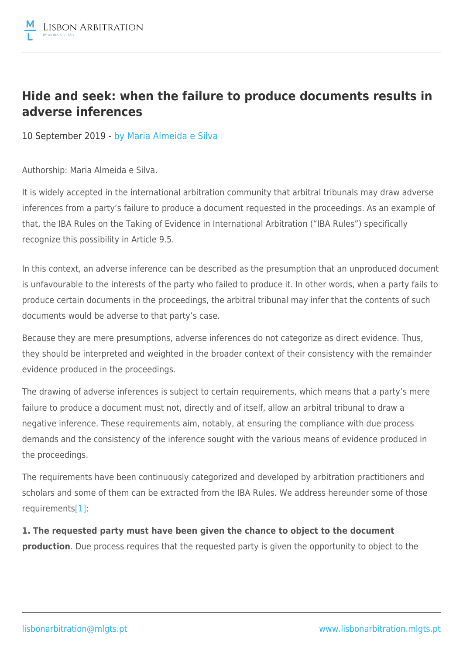## **Hide and seek: when the failure to produce documents results in adverse inferences**

10 September 2019 - by [Maria Almeida e Silva](https://lisbonarbitration.mlgts.pt/articles/?f_author=65?v=2)

Authorship: Maria Almeida e Silva.

It is widely accepted in the international arbitration community that arbitral tribunals may draw adverse inferences from a party's failure to produce a document requested in the proceedings. As an example of that, the IBA Rules on the Taking of Evidence in International Arbitration ("IBA Rules") specifically recognize this possibility in Article 9.5.

In this context, an adverse inference can be described as the presumption that an unproduced document is unfavourable to the interests of the party who failed to produce it. In other words, when a party fails to produce certain documents in the proceedings, the arbitral tribunal may infer that the contents of such documents would be adverse to that party's case.

Because they are mere presumptions, adverse inferences do not categorize as direct evidence. Thus, they should be interpreted and weighted in the broader context of their consistency with the remainder evidence produced in the proceedings.

The drawing of adverse inferences is subject to certain requirements, which means that a party's mere failure to produce a document must not, directly and of itself, allow an arbitral tribunal to draw a negative inference. These requirements aim, notably, at ensuring the compliance with due process demands and the consistency of the inference sought with the various means of evidence produced in the proceedings.

The requirements have been continuously categorized and developed by arbitration practitioners and scholars and some of them can be extracted from the IBA Rules. We address hereunder some of those requirements[\[1\]:](file:///C:/Users/NMF/AppData/Local/Microsoft/Windows/INetCache/Content.Outlook/DACTFCN3/MLGTS_LAWC-#3771530-v2-MAS Artigo Lisbon Arbitration (Rev RNF).DOCX#_ftn1)

**1. The requested party must have been given the chance to object to the document production**. Due process requires that the requested party is given the opportunity to object to the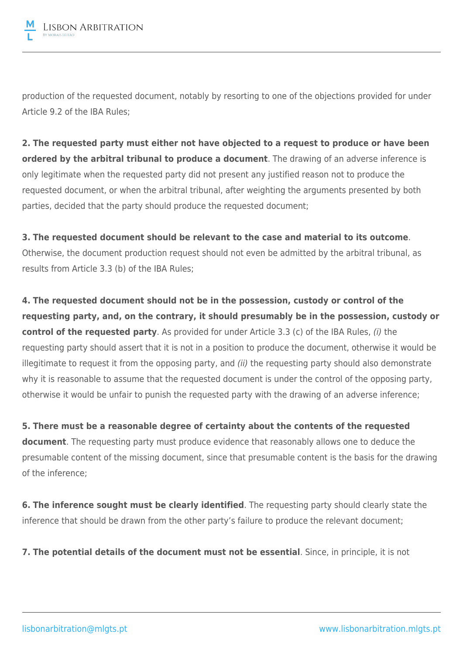

production of the requested document, notably by resorting to one of the objections provided for under Article 9.2 of the IBA Rules;

**2. The requested party must either not have objected to a request to produce or have been ordered by the arbitral tribunal to produce a document**. The drawing of an adverse inference is only legitimate when the requested party did not present any justified reason not to produce the requested document, or when the arbitral tribunal, after weighting the arguments presented by both parties, decided that the party should produce the requested document;

**3. The requested document should be relevant to the case and material to its outcome**. Otherwise, the document production request should not even be admitted by the arbitral tribunal, as results from Article 3.3 (b) of the IBA Rules;

**4. The requested document should not be in the possession, custody or control of the requesting party, and, on the contrary, it should presumably be in the possession, custody or control of the requested party**. As provided for under Article 3.3 (c) of the IBA Rules, (i) the requesting party should assert that it is not in a position to produce the document, otherwise it would be illegitimate to request it from the opposing party, and (ii) the requesting party should also demonstrate why it is reasonable to assume that the requested document is under the control of the opposing party, otherwise it would be unfair to punish the requested party with the drawing of an adverse inference;

**5. There must be a reasonable degree of certainty about the contents of the requested document**. The requesting party must produce evidence that reasonably allows one to deduce the presumable content of the missing document, since that presumable content is the basis for the drawing of the inference;

**6. The inference sought must be clearly identified**. The requesting party should clearly state the inference that should be drawn from the other party's failure to produce the relevant document;

**7. The potential details of the document must not be essential**. Since, in principle, it is not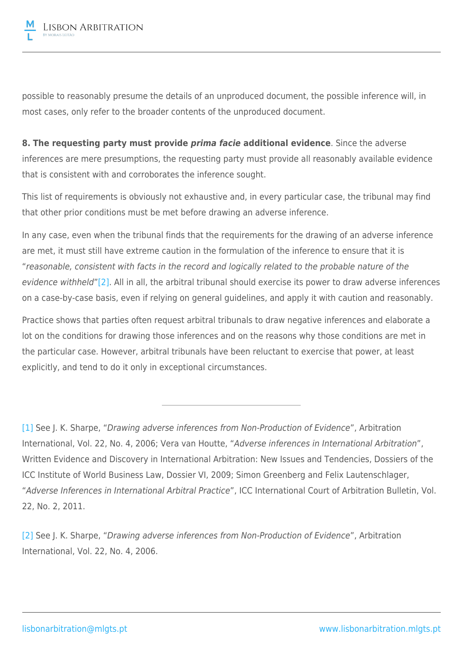

possible to reasonably presume the details of an unproduced document, the possible inference will, in most cases, only refer to the broader contents of the unproduced document.

**8. The requesting party must provide** *prima facie* **additional evidence**. Since the adverse inferences are mere presumptions, the requesting party must provide all reasonably available evidence that is consistent with and corroborates the inference sought.

This list of requirements is obviously not exhaustive and, in every particular case, the tribunal may find that other prior conditions must be met before drawing an adverse inference.

In any case, even when the tribunal finds that the requirements for the drawing of an adverse inference are met, it must still have extreme caution in the formulation of the inference to ensure that it is "reasonable, consistent with facts in the record and logically related to the probable nature of the evidence withheld["\[2\]](file:///C:/Users/NMF/AppData/Local/Microsoft/Windows/INetCache/Content.Outlook/DACTFCN3/MLGTS_LAWC-#3771530-v2-MAS Artigo Lisbon Arbitration (Rev RNF).DOCX#_ftn2). All in all, the arbitral tribunal should exercise its power to draw adverse inferences on a case-by-case basis, even if relying on general guidelines, and apply it with caution and reasonably.

Practice shows that parties often request arbitral tribunals to draw negative inferences and elaborate a lot on the conditions for drawing those inferences and on the reasons why those conditions are met in the particular case. However, arbitral tribunals have been reluctant to exercise that power, at least explicitly, and tend to do it only in exceptional circumstances.

[\[1\]](file:///C:/Users/NMF/AppData/Local/Microsoft/Windows/INetCache/Content.Outlook/DACTFCN3/MLGTS_LAWC-#3771530-v2-MAS Artigo Lisbon Arbitration (Rev RNF).DOCX#_ftnref1) See J. K. Sharpe, "Drawing adverse inferences from Non-Production of Evidence", Arbitration International, Vol. 22, No. 4, 2006; Vera van Houtte, "Adverse inferences in International Arbitration", Written Evidence and Discovery in International Arbitration: New Issues and Tendencies, Dossiers of the ICC Institute of World Business Law, Dossier VI, 2009; Simon Greenberg and Felix Lautenschlager, "Adverse Inferences in International Arbitral Practice", ICC International Court of Arbitration Bulletin, Vol. 22, No. 2, 2011.

[\[2\]](file:///C:/Users/NMF/AppData/Local/Microsoft/Windows/INetCache/Content.Outlook/DACTFCN3/MLGTS_LAWC-#3771530-v2-MAS Artigo Lisbon Arbitration (Rev RNF).DOCX#_ftnref2) See J. K. Sharpe, "Drawing adverse inferences from Non-Production of Evidence", Arbitration International, Vol. 22, No. 4, 2006.